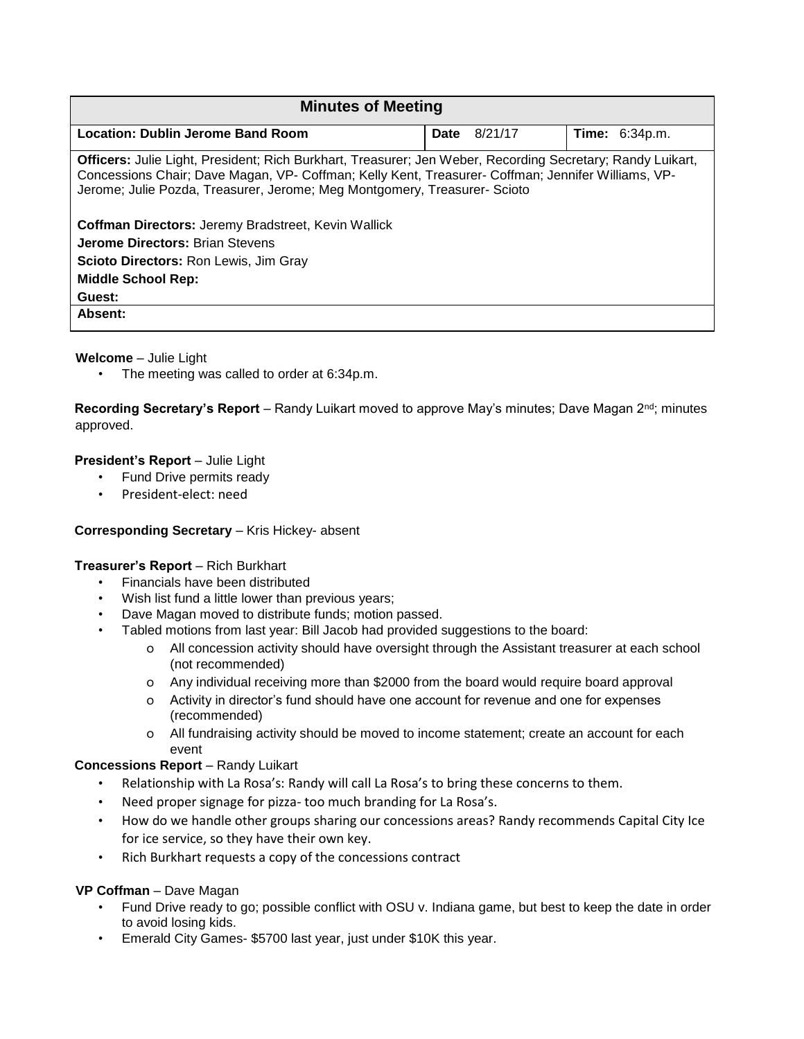| <b>Minutes of Meeting</b>                                                                                                                                                                                                                                                                           |                 |                       |
|-----------------------------------------------------------------------------------------------------------------------------------------------------------------------------------------------------------------------------------------------------------------------------------------------------|-----------------|-----------------------|
| Location: Dublin Jerome Band Room                                                                                                                                                                                                                                                                   | 8/21/17<br>Date | <b>Time:</b> 6:34p.m. |
| <b>Officers: Julie Light, President; Rich Burkhart, Treasurer; Jen Weber, Recording Secretary; Randy Luikart,</b><br>Concessions Chair; Dave Magan, VP- Coffman; Kelly Kent, Treasurer- Coffman; Jennifer Williams, VP-<br>Jerome; Julie Pozda, Treasurer, Jerome; Meg Montgomery, Treasurer-Scioto |                 |                       |
| <b>Coffman Directors:</b> Jeremy Bradstreet, Kevin Wallick                                                                                                                                                                                                                                          |                 |                       |
| <b>Jerome Directors: Brian Stevens</b>                                                                                                                                                                                                                                                              |                 |                       |
| <b>Scioto Directors: Ron Lewis, Jim Gray</b>                                                                                                                                                                                                                                                        |                 |                       |
| <b>Middle School Rep:</b>                                                                                                                                                                                                                                                                           |                 |                       |
| Guest:                                                                                                                                                                                                                                                                                              |                 |                       |
| Absent:                                                                                                                                                                                                                                                                                             |                 |                       |

## **Welcome** – Julie Light

• The meeting was called to order at 6:34p.m.

**Recording Secretary's Report** – Randy Luikart moved to approve May's minutes; Dave Magan 2nd; minutes approved.

# **President's Report - Julie Light**

- Fund Drive permits ready
- President-elect: need

## **Corresponding Secretary** – Kris Hickey- absent

## **Treasurer's Report** – Rich Burkhart

- Financials have been distributed
- Wish list fund a little lower than previous years;
- Dave Magan moved to distribute funds; motion passed.
- Tabled motions from last year: Bill Jacob had provided suggestions to the board:
	- o All concession activity should have oversight through the Assistant treasurer at each school (not recommended)
	- o Any individual receiving more than \$2000 from the board would require board approval
	- o Activity in director's fund should have one account for revenue and one for expenses (recommended)
	- o All fundraising activity should be moved to income statement; create an account for each event

## **Concessions Report** – Randy Luikart

- Relationship with La Rosa's: Randy will call La Rosa's to bring these concerns to them.
- Need proper signage for pizza- too much branding for La Rosa's.
- How do we handle other groups sharing our concessions areas? Randy recommends Capital City Ice for ice service, so they have their own key.
- Rich Burkhart requests a copy of the concessions contract

## **VP Coffman** – Dave Magan

- Fund Drive ready to go; possible conflict with OSU v. Indiana game, but best to keep the date in order to avoid losing kids.
- Emerald City Games- \$5700 last year, just under \$10K this year.